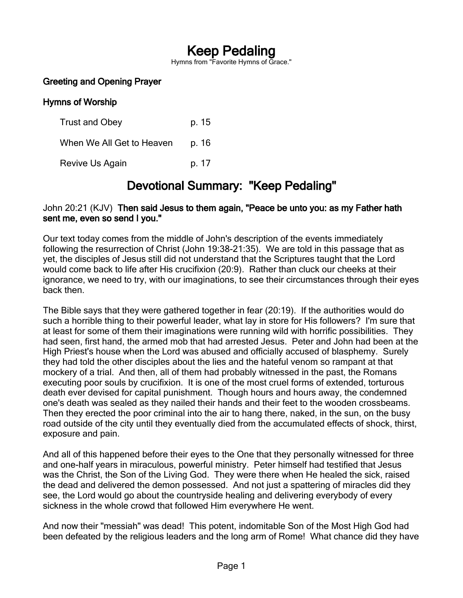# Keep Pedaling

Hymns from "Favorite Hymns of Grace."

### Greeting and Opening Prayer

### Hymns of Worship

| <b>Trust and Obey</b>     | p. 15 |
|---------------------------|-------|
| When We All Get to Heaven | p. 16 |
| Revive Us Again           | p. 17 |

## Devotional Summary: "Keep Pedaling"

### John 20:21 (KJV) Then said Jesus to them again, "Peace be unto you: as my Father hath sent me, even so send I you."

Our text today comes from the middle of John's description of the events immediately following the resurrection of Christ (John 19:38-21:35). We are told in this passage that as yet, the disciples of Jesus still did not understand that the Scriptures taught that the Lord would come back to life after His crucifixion (20:9). Rather than cluck our cheeks at their ignorance, we need to try, with our imaginations, to see their circumstances through their eyes back then.

The Bible says that they were gathered together in fear (20:19). If the authorities would do such a horrible thing to their powerful leader, what lay in store for His followers? I'm sure that at least for some of them their imaginations were running wild with horrific possibilities. They had seen, first hand, the armed mob that had arrested Jesus. Peter and John had been at the High Priest's house when the Lord was abused and officially accused of blasphemy. Surely they had told the other disciples about the lies and the hateful venom so rampant at that mockery of a trial. And then, all of them had probably witnessed in the past, the Romans executing poor souls by crucifixion. It is one of the most cruel forms of extended, torturous death ever devised for capital punishment. Though hours and hours away, the condemned one's death was sealed as they nailed their hands and their feet to the wooden crossbeams. Then they erected the poor criminal into the air to hang there, naked, in the sun, on the busy road outside of the city until they eventually died from the accumulated effects of shock, thirst, exposure and pain.

And all of this happened before their eyes to the One that they personally witnessed for three and one-half years in miraculous, powerful ministry. Peter himself had testified that Jesus was the Christ, the Son of the Living God. They were there when He healed the sick, raised the dead and delivered the demon possessed. And not just a spattering of miracles did they see, the Lord would go about the countryside healing and delivering everybody of every sickness in the whole crowd that followed Him everywhere He went.

And now their "messiah" was dead! This potent, indomitable Son of the Most High God had been defeated by the religious leaders and the long arm of Rome! What chance did they have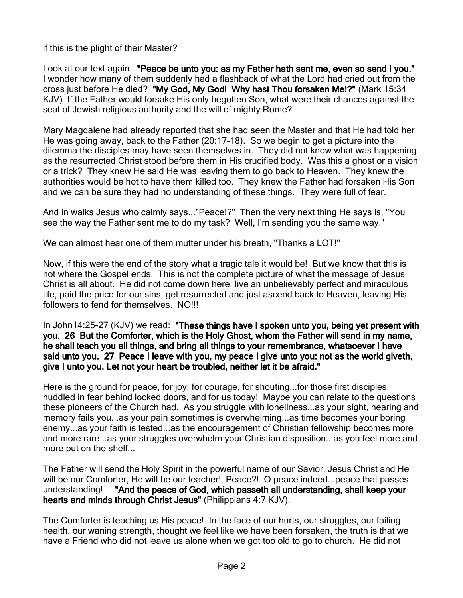if this is the plight of their Master?

Look at our text again. "Peace be unto you: as my Father hath sent me, even so send I you." I wonder how many of them suddenly had a flashback of what the Lord had cried out from the cross just before He died? "My God, My God! Why hast Thou forsaken Me!?" (Mark 15:34 KJV) If the Father would forsake His only begotten Son, what were their chances against the seat of Jewish religious authority and the will of mighty Rome?

Mary Magdalene had already reported that she had seen the Master and that He had told her He was going away, back to the Father (20:17-18). So we begin to get a picture into the dilemma the disciples may have seen themselves in. They did not know what was happening as the resurrected Christ stood before them in His crucified body. Was this a ghost or a vision or a trick? They knew He said He was leaving them to go back to Heaven. They knew the authorities would be hot to have them killed too. They knew the Father had forsaken His Son and we can be sure they had no understanding of these things. They were full of fear.

And in walks Jesus who calmly says..."Peace!?" Then the very next thing He says is, "You see the way the Father sent me to do my task? Well, I'm sending you the same way."

We can almost hear one of them mutter under his breath, "Thanks a LOT!"

Now, if this were the end of the story what a tragic tale it would be! But we know that this is not where the Gospel ends. This is not the complete picture of what the message of Jesus Christ is all about. He did not come down here, live an unbelievably perfect and miraculous life, paid the price for our sins, get resurrected and just ascend back to Heaven, leaving His followers to fend for themselves. NO!!!

In John14:25-27 (KJV) we read: "These things have I spoken unto you, being yet present with you. 26 But the Comforter, which is the Holy Ghost, whom the Father will send in my name, he shall teach you all things, and bring all things to your remembrance, whatsoever I have said unto you. 27 Peace I leave with you, my peace I give unto you: not as the world giveth, give I unto you. Let not your heart be troubled, neither let it be afraid."

Here is the ground for peace, for joy, for courage, for shouting...for those first disciples, huddled in fear behind locked doors, and for us today! Maybe you can relate to the questions these pioneers of the Church had. As you struggle with loneliness...as your sight, hearing and memory fails you...as your pain sometimes is overwhelming...as time becomes your boring enemy...as your faith is tested...as the encouragement of Christian fellowship becomes more and more rare...as your struggles overwhelm your Christian disposition...as you feel more and more put on the shelf...

The Father will send the Holy Spirit in the powerful name of our Savior, Jesus Christ and He will be our Comforter, He will be our teacher! Peace?! O peace indeed...peace that passes understanding! "And the peace of God, which passeth all understanding, shall keep your hearts and minds through Christ Jesus" (Philippians 4:7 KJV).

The Comforter is teaching us His peace! In the face of our hurts, our struggles, our failing health, our waning strength, thought we feel like we have been forsaken, the truth is that we have a Friend who did not leave us alone when we got too old to go to church. He did not